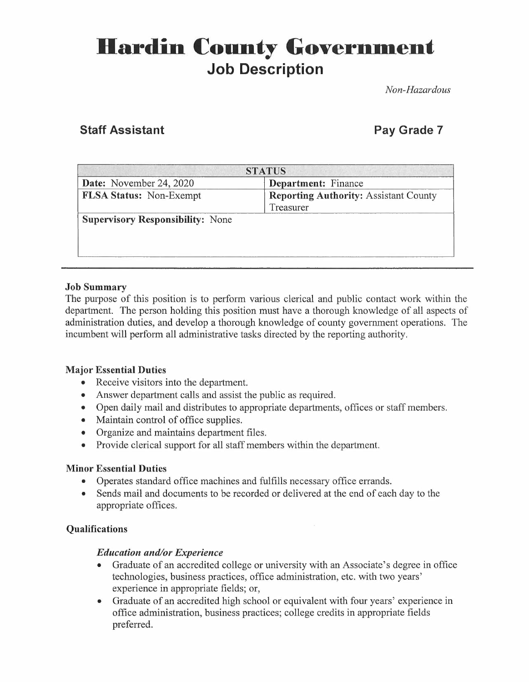# **Hardin County Government Job Description**

*Non-Hazardous* 

## **Staff Assistant Pay Grade 7 <b>Pay Grade 7**

| <b>STATUS</b>                                |  |
|----------------------------------------------|--|
| Department: Finance                          |  |
| <b>Reporting Authority: Assistant County</b> |  |
| Treasurer                                    |  |
|                                              |  |
|                                              |  |
|                                              |  |
|                                              |  |
|                                              |  |

#### **Job Summary**

The purpose of this position is to perform various clerical and public contact work within the department. The person holding this position must have a thorough knowledge of all aspects of administration duties, and develop a thorough knowledge of county government operations. The incumbent will perform all administrative tasks directed by the reporting authority.

#### **Major Essential Duties**

- Receive visitors into the department.
- Answer department calls and assist the public as required.
- Open daily mail and distributes to appropriate departments, offices or staff members.
- Maintain control of office supplies.
- Organize and maintains department files.
- Provide clerical support for all staff members within the department.

#### **Minor Essential Duties**

- Operates standard office machines and fulfills necessary office errands.
- Sends mail and documents to be recorded or delivered at the end of each day to the appropriate offices.

#### **Qualifications**

#### *Education and/or Experience*

- Graduate of an accredited college or university with an Associate's degree in office technologies, business practices, office administration, etc. with two years' experience in appropriate fields; or,
- Graduate of an accredited high school or equivalent with four years' experience in office administration, business practices; college credits in appropriate fields preferred.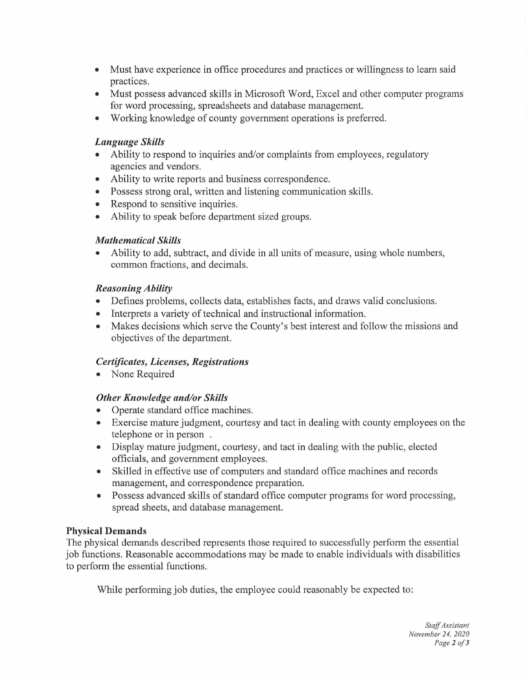- Must have experience in office procedures and practices or willingness to learn said practices.
- Must possess advanced skills in Microsoft Word, Excel and other computer programs for word processing, spreadsheets and database management.
- Working knowledge of county government operations is preferred.

#### *Language Skills*

- Ability to respond to inquiries and/or complaints from employees, regulatory agencies and vendors.
- Ability to write reports and business correspondence.
- Possess strong oral, written and listening communication skills.
- Respond to sensitive inquiries.
- Ability to speak before department sized groups.

#### *Mathematical Skills*

• Ability to add, subtract, and divide in all units of measure, using whole numbers, common fractions, and decimals.

### *Reasoning Ability*

- Defines problems, collects data, establishes facts, and draws valid conclusions.
- Interprets a variety of technical and instructional information.
- Makes decisions which serve the County's best interest and follow the missions and objectives of the department.

#### *Certificates, Licenses, Registrations*

• None Required

#### *Other Knowledge and/or Skills*

- Operate standard office machines.
- Exercise mature judgment, courtesy and tact in dealing with county employees on the telephone or in person .
- Display mature judgment, courtesy, and tact in dealing with the public, elected officials, and government employees.
- Skilled in effective use of computers and standard office machines and records management, and correspondence preparation.
- Possess advanced skills of standard office computer programs for word processing, spread sheets, and database management.

#### **Physical Demands**

The physical demands described represents those required to successfully perform the essential job functions. Reasonable accommodations may be made to enable individuals with disabilities to perform the essential functions.

While performing job duties, the employee could reasonably be expected to: